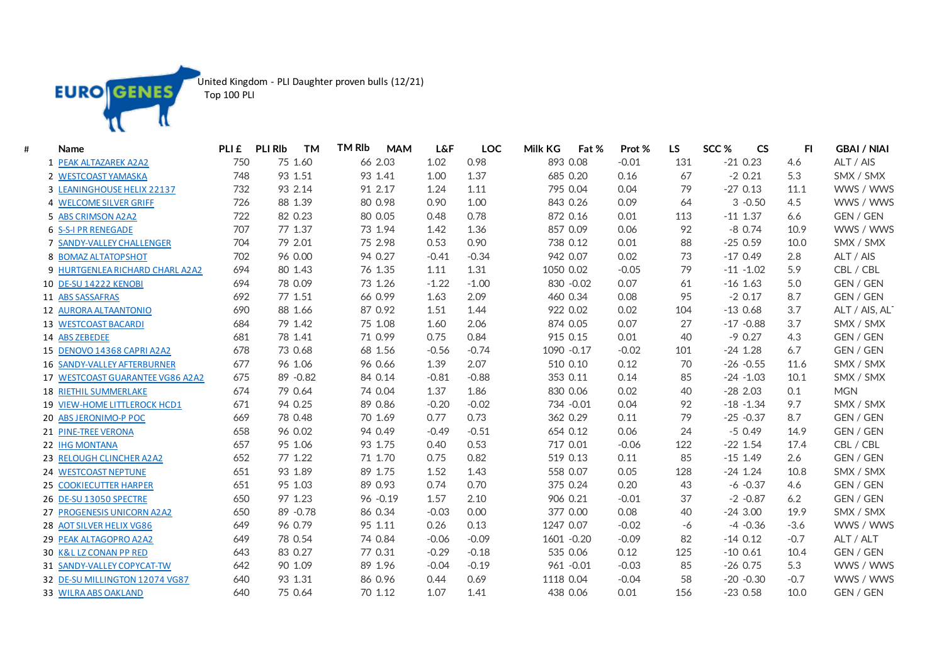

United Kingdom - PLI Daughter proven bulls (12/21)

Top 100 PLI

| # | Name                             | PLI <sub>£</sub> | <b>TM</b><br><b>PLI RIb</b> | <b>TM RIb</b><br><b>MAM</b> | <b>L&amp;F</b> | LOC     | Milk KG<br>Fat % | Prot %  | <b>LS</b> | SCC <sub>%</sub><br><b>CS</b> | FI.    | <b>GBAI / NIAI</b> |
|---|----------------------------------|------------------|-----------------------------|-----------------------------|----------------|---------|------------------|---------|-----------|-------------------------------|--------|--------------------|
|   | 1 PEAK ALTAZAREK A2A2            | 750              | 75 1.60                     | 66 2.03                     | 1.02           | 0.98    | 893 0.08         | $-0.01$ | 131       | $-210.23$                     | 4.6    | ALT / AIS          |
|   | 2 WESTCOAST YAMASKA              | 748              | 93 1.51                     | 93 1.41                     | 1.00           | 1.37    | 685 0.20         | 0.16    | 67        | $-2$ 0.21                     | 5.3    | SMX / SMX          |
|   | 3 LEANINGHOUSE HELIX 22137       | 732              | 93 2.14                     | 91 2.17                     | 1.24           | 1.11    | 795 0.04         | 0.04    | 79        | $-270.13$                     | 11.1   | WWS / WWS          |
|   | 4 WELCOME SILVER GRIFF           | 726              | 88 1.39                     | 80 0.98                     | 0.90           | 1.00    | 843 0.26         | 0.09    | 64        | $3 - 0.50$                    | 4.5    | WWS / WWS          |
|   | 5 ABS CRIMSON A2A2               | 722              | 82 0.23                     | 80 0.05                     | 0.48           | 0.78    | 872 0.16         | 0.01    | 113       | $-11$ 1.37                    | 6.6    | GEN / GEN          |
|   | 6 S-S-I PR RENEGADE              | 707              | 77 1.37                     | 73 1.94                     | 1.42           | 1.36    | 857 0.09         | 0.06    | 92        | $-80.74$                      | 10.9   | WWS / WWS          |
|   | 7 SANDY-VALLEY CHALLENGER        | 704              | 79 2.01                     | 75 2.98                     | 0.53           | 0.90    | 738 0.12         | 0.01    | 88        | $-250.59$                     | 10.0   | SMX / SMX          |
|   | 8 BOMAZ ALTATOPSHOT              | 702              | 96 0.00                     | 94 0.27                     | $-0.41$        | $-0.34$ | 942 0.07         | 0.02    | 73        | $-170.49$                     | 2.8    | ALT / AIS          |
|   | 9 HURTGENLEA RICHARD CHARL A2A2  | 694              | 80 1.43                     | 76 1.35                     | 1.11           | 1.31    | 1050 0.02        | $-0.05$ | 79        | $-11 - 1.02$                  | 5.9    | CBL / CBL          |
|   | 10 DE-SU 14222 KENOBI            | 694              | 78 0.09                     | 73 1.26                     | $-1.22$        | $-1.00$ | 830 - 0.02       | 0.07    | 61        | $-16$ 1.63                    | 5.0    | GEN / GEN          |
|   | 11 ABS SASSAFRAS                 | 692              | 77 1.51                     | 66 0.99                     | 1.63           | 2.09    | 460 0.34         | 0.08    | 95        | $-2$ 0.17                     | 8.7    | GEN / GEN          |
|   | 12 AURORA ALTAANTONIO            | 690              | 88 1.66                     | 87 0.92                     | 1.51           | 1.44    | 922 0.02         | 0.02    | 104       | $-130.68$                     | 3.7    | ALT / AIS, ALT     |
|   | 13 WESTCOAST BACARDI             | 684              | 79 1.42                     | 75 1.08                     | 1.60           | 2.06    | 874 0.05         | 0.07    | 27        | $-17 - 0.88$                  | 3.7    | SMX / SMX          |
|   | 14 ABS ZEBEDEE                   | 681              | 78 1.41                     | 71 0.99                     | 0.75           | 0.84    | 915 0.15         | 0.01    | 40        | $-90.27$                      | 4.3    | GEN / GEN          |
|   | 15 DENOVO 14368 CAPRI A2A2       | 678              | 73 0.68                     | 68 1.56                     | $-0.56$        | $-0.74$ | 1090 - 0.17      | $-0.02$ | 101       | $-24$ 1.28                    | 6.7    | GEN / GEN          |
|   | 16 SANDY-VALLEY AFTERBURNER      | 677              | 96 1.06                     | 96 0.66                     | 1.39           | 2.07    | 510 0.10         | 0.12    | 70        | $-26 - 0.55$                  | 11.6   | SMX / SMX          |
|   | 17 WESTCOAST GUARANTEE VG86 A2A2 | 675              | 89 - 0.82                   | 84 0.14                     | $-0.81$        | $-0.88$ | 353 0.11         | 0.14    | 85        | $-24 - 1.03$                  | 10.1   | SMX / SMX          |
|   | <b>18 RIETHIL SUMMERLAKE</b>     | 674              | 79 0.64                     | 74 0.04                     | 1.37           | 1.86    | 830 0.06         | 0.02    | 40        | $-282.03$                     | 0.1    | <b>MGN</b>         |
|   | 19 VIEW-HOME LITTLEROCK HCD1     | 671              | 94 0.25                     | 89 0.86                     | $-0.20$        | $-0.02$ | 734 - 0.01       | 0.04    | 92        | $-18 - 1.34$                  | 9.7    | SMX / SMX          |
|   | 20 ABS JERONIMO-P POC            | 669              | 78 0.48                     | 70 1.69                     | 0.77           | 0.73    | 362 0.29         | 0.11    | 79        | $-25 - 0.37$                  | 8.7    | GEN / GEN          |
|   | 21 PINE-TREE VERONA              | 658              | 96 0.02                     | 94 0.49                     | $-0.49$        | $-0.51$ | 654 0.12         | 0.06    | 24        | $-50.49$                      | 14.9   | GEN / GEN          |
|   | 22 IHG MONTANA                   | 657              | 95 1.06                     | 93 1.75                     | 0.40           | 0.53    | 717 0.01         | $-0.06$ | 122       | $-22$ 1.54                    | 17.4   | CBL / CBL          |
|   | 23 RELOUGH CLINCHER A2A2         | 652              | 77 1.22                     | 71 1.70                     | 0.75           | 0.82    | 519 0.13         | 0.11    | 85        | $-15$ 1.49                    | 2.6    | GEN / GEN          |
|   | 24 WESTCOAST NEPTUNE             | 651              | 93 1.89                     | 89 1.75                     | 1.52           | 1.43    | 558 0.07         | 0.05    | 128       | $-24$ 1.24                    | 10.8   | SMX / SMX          |
|   | <b>25 COOKIECUTTER HARPER</b>    | 651              | 95 1.03                     | 89 0.93                     | 0.74           | 0.70    | 375 0.24         | 0.20    | 43        | $-6 - 0.37$                   | 4.6    | GEN / GEN          |
|   | 26 DE-SU 13050 SPECTRE           | 650              | 97 1.23                     | 96 - 0.19                   | 1.57           | 2.10    | 906 0.21         | $-0.01$ | 37        | $-2 -0.87$                    | 6.2    | GEN / GEN          |
|   | 27 PROGENESIS UNICORN A2A2       | 650              | 89 - 0.78                   | 86 0.34                     | $-0.03$        | 0.00    | 377 0.00         | 0.08    | 40        | $-243.00$                     | 19.9   | SMX / SMX          |
|   | 28 AOT SILVER HELIX VG86         | 649              | 96 0.79                     | 95 1.11                     | 0.26           | 0.13    | 1247 0.07        | $-0.02$ | $-6$      | $-4 - 0.36$                   | $-3.6$ | WWS / WWS          |
|   | 29 PEAK ALTAGOPRO A2A2           | 649              | 78 0.54                     | 74 0.84                     | $-0.06$        | $-0.09$ | 1601 - 0.20      | $-0.09$ | 82        | $-140.12$                     | $-0.7$ | ALT / ALT          |
|   | 30 K&L LZ CONAN PP RED           | 643              | 83 0.27                     | 77 0.31                     | $-0.29$        | $-0.18$ | 535 0.06         | 0.12    | 125       | $-100.61$                     | 10.4   | GEN / GEN          |
|   | 31 SANDY-VALLEY COPYCAT-TW       | 642              | 90 1.09                     | 89 1.96                     | $-0.04$        | $-0.19$ | $961 - 0.01$     | $-0.03$ | 85        | $-26$ 0.75                    | 5.3    | WWS / WWS          |
|   | 32 DE-SU MILLINGTON 12074 VG87   | 640              | 93 1.31                     | 86 0.96                     | 0.44           | 0.69    | 1118 0.04        | $-0.04$ | 58        | $-20 -0.30$                   | $-0.7$ | WWS / WWS          |
|   | 33 WILRA ABS OAKLAND             | 640              | 75 0.64                     | 70 1.12                     | 1.07           | 1.41    | 438 0.06         | 0.01    | 156       | $-230.58$                     | 10.0   | <b>GEN / GEN</b>   |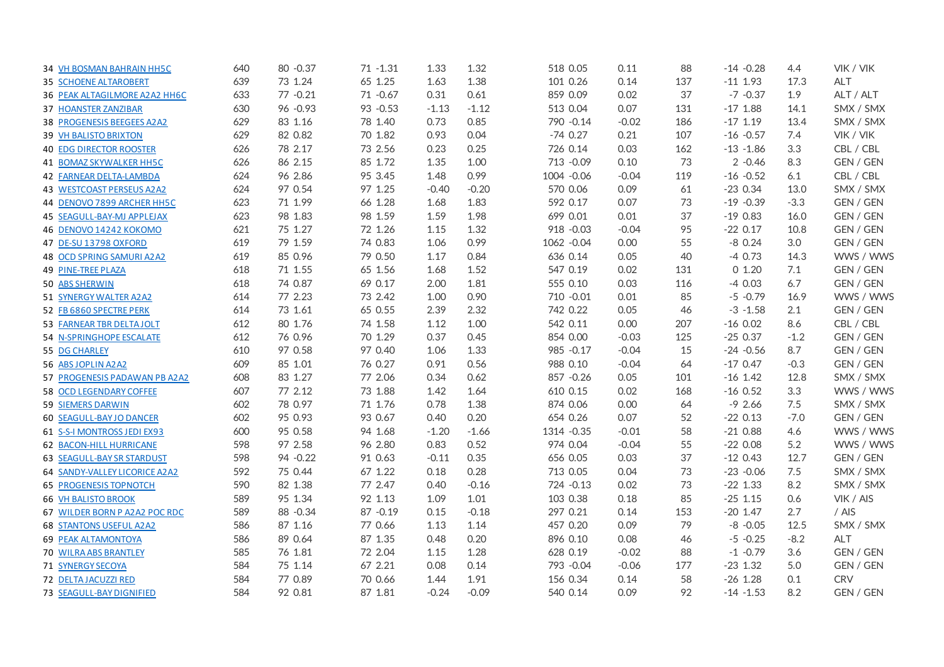| 34 VH BOSMAN BAHRAIN HH5C         | 640 | 80 - 0.37 | $71 - 1.31$ | 1.33    | 1.32    | 518 0.05     | 0.11    | 88  | $-14 - 0.28$ | 4.4    | VIK / VIK        |
|-----------------------------------|-----|-----------|-------------|---------|---------|--------------|---------|-----|--------------|--------|------------------|
| <b>35 SCHOENE ALTAROBERT</b>      | 639 | 73 1.24   | 65 1.25     | 1.63    | 1.38    | 101 0.26     | 0.14    | 137 | $-11$ 1.93   | 17.3   | <b>ALT</b>       |
| 36 PEAK ALTAGILMORE A2A2 HH6C     | 633 | 77 - 0.21 | 71 -0.67    | 0.31    | 0.61    | 859 0.09     | 0.02    | 37  | $-7 - 0.37$  | 1.9    | ALT / ALT        |
| 37 HOANSTER ZANZIBAR              | 630 | 96 - 0.93 | 93 - 0.53   | $-1.13$ | $-1.12$ | 513 0.04     | 0.07    | 131 | $-17$ 1.88   | 14.1   | SMX / SMX        |
| 38 PROGENESIS BEEGEES A2A2        | 629 | 83 1.16   | 78 1.40     | 0.73    | 0.85    | 790 - 0.14   | $-0.02$ | 186 | $-17$ 1.19   | 13.4   | SMX / SMX        |
| 39 VH BALISTO BRIXTON             | 629 | 82 0.82   | 70 1.82     | 0.93    | 0.04    | $-740.27$    | 0.21    | 107 | $-16 - 0.57$ | 7.4    | VIK / VIK        |
| <b>40 EDG DIRECTOR ROOSTER</b>    | 626 | 78 2.17   | 73 2.56     | 0.23    | 0.25    | 726 0.14     | 0.03    | 162 | $-13 - 1.86$ | 3.3    | CBL / CBL        |
| 41 BOMAZ SKYWALKER HH5C           | 626 | 86 2.15   | 85 1.72     | 1.35    | 1.00    | 713 - 0.09   | 0.10    | 73  | $2 -0.46$    | 8.3    | GEN / GEN        |
| <b>42 FARNEAR DELTA-LAMBDA</b>    | 624 | 96 2.86   | 95 3.45     | 1.48    | 0.99    | 1004 -0.06   | $-0.04$ | 119 | $-16 - 0.52$ | 6.1    | CBL / CBL        |
| 43 WESTCOAST PERSEUS A2A2         | 624 | 97 0.54   | 97 1.25     | $-0.40$ | $-0.20$ | 570 0.06     | 0.09    | 61  | $-230.34$    | 13.0   | SMX / SMX        |
| 44 DENOVO 7899 ARCHER HH5C        | 623 | 71 1.99   | 66 1.28     | 1.68    | 1.83    | 592 0.17     | 0.07    | 73  | $-19 - 0.39$ | $-3.3$ | GEN / GEN        |
| <b>45 SEAGULL-BAY-MJ APPLEJAX</b> | 623 | 98 1.83   | 98 1.59     | 1.59    | 1.98    | 699 0.01     | 0.01    | 37  | $-190.83$    | 16.0   | <b>GEN / GEN</b> |
| 46 DENOVO 14242 KOKOMO            | 621 | 75 1.27   | 72 1.26     | 1.15    | 1.32    | $918 - 0.03$ | $-0.04$ | 95  | $-220.17$    | 10.8   | <b>GEN / GEN</b> |
| 47 DE-SU 13798 OXFORD             | 619 | 79 1.59   | 74 0.83     | 1.06    | 0.99    | 1062 - 0.04  | 0.00    | 55  | $-80.24$     | 3.0    | GEN / GEN        |
| <b>48 OCD SPRING SAMURI A2A2</b>  | 619 | 85 0.96   | 79 0.50     | 1.17    | 0.84    | 636 0.14     | 0.05    | 40  | $-40.73$     | 14.3   | WWS / WWS        |
| <b>49 PINE-TREE PLAZA</b>         | 618 | 71 1.55   | 65 1.56     | 1.68    | 1.52    | 547 0.19     | 0.02    | 131 | 0 1.20       | 7.1    | GEN / GEN        |
| 50 ABS SHERWIN                    | 618 | 74 0.87   | 69 0.17     | 2.00    | 1.81    | 555 0.10     | 0.03    | 116 | $-40.03$     | 6.7    | GEN / GEN        |
| 51 SYNERGY WALTER A2A2            | 614 | 77 2.23   | 73 2.42     | 1.00    | 0.90    | 710 -0.01    | 0.01    | 85  | $-5 -0.79$   | 16.9   | WWS / WWS        |
| 52 FB 6860 SPECTRE PERK           | 614 | 73 1.61   | 65 0.55     | 2.39    | 2.32    | 742 0.22     | 0.05    | 46  | $-3 - 1.58$  | 2.1    | GEN / GEN        |
| 53 FARNEAR TBR DELTA JOLT         | 612 | 80 1.76   | 74 1.58     | 1.12    | 1.00    | 542 0.11     | 0.00    | 207 | $-160.02$    | 8.6    | CBL / CBL        |
| <b>54 N-SPRINGHOPE ESCALATE</b>   | 612 | 76 0.96   | 70 1.29     | 0.37    | 0.45    | 854 0.00     | $-0.03$ | 125 | $-250.37$    | $-1.2$ | GEN / GEN        |
| 55 DG CHARLEY                     | 610 | 97 0.58   | 97 0.40     | 1.06    | 1.33    | 985 - 0.17   | $-0.04$ | 15  | $-24 - 0.56$ | 8.7    | GEN / GEN        |
| 56 ABS JOPLIN A2A2                | 609 | 85 1.01   | 76 0.27     | 0.91    | 0.56    | 988 0.10     | $-0.04$ | 64  | $-170.47$    | $-0.3$ | GEN / GEN        |
| 57 PROGENESIS PADAWAN PB A2A2     | 608 | 83 1.27   | 77 2.06     | 0.34    | 0.62    | 857 - 0.26   | 0.05    | 101 | $-16$ 1.42   | 12.8   | SMX / SMX        |
| 58 OCD LEGENDARY COFFEE           | 607 | 77 2.12   | 73 1.88     | 1.42    | 1.64    | 610 0.15     | 0.02    | 168 | $-16$ 0.52   | 3.3    | WWS / WWS        |
| 59 SIEMERS DARWIN                 | 602 | 78 0.97   | 71 1.76     | 0.78    | 1.38    | 874 0.06     | 0.00    | 64  | $-92.66$     | 7.5    | SMX / SMX        |
| <b>60 SEAGULL-BAY JO DANCER</b>   | 602 | 95 0.93   | 93 0.67     | 0.40    | 0.20    | 654 0.26     | 0.07    | 52  | $-220.13$    | $-7.0$ | GEN / GEN        |
| 61 S-S-I MONTROSS JEDI EX93       | 600 | 95 0.58   | 94 1.68     | $-1.20$ | $-1.66$ | 1314 - 0.35  | $-0.01$ | 58  | $-210.88$    | 4.6    | WWS / WWS        |
| <b>62 BACON-HILL HURRICANE</b>    | 598 | 97 2.58   | 96 2.80     | 0.83    | 0.52    | 974 0.04     | $-0.04$ | 55  | $-220.08$    | 5.2    | WWS / WWS        |
| <b>63 SEAGULL-BAY SR STARDUST</b> | 598 | 94 - 0.22 | 91 0.63     | $-0.11$ | 0.35    | 656 0.05     | 0.03    | 37  | $-120.43$    | 12.7   | GEN / GEN        |
| 64 SANDY-VALLEY LICORICE A2A2     | 592 | 75 0.44   | 67 1.22     | 0.18    | 0.28    | 713 0.05     | 0.04    | 73  | $-23 - 0.06$ | 7.5    | SMX / SMX        |
| <b>65 PROGENESIS TOPNOTCH</b>     | 590 | 82 1.38   | 77 2.47     | 0.40    | $-0.16$ | 724 - 0.13   | 0.02    | 73  | $-22$ 1.33   | 8.2    | SMX / SMX        |
| <b>66 VH BALISTO BROOK</b>        | 589 | 95 1.34   | 92 1.13     | 1.09    | 1.01    | 103 0.38     | 0.18    | 85  | $-25$ 1.15   | 0.6    | VIK / AIS        |
| 67 WILDER BORN P A2A2 POC RDC     | 589 | 88 - 0.34 | 87 - 0.19   | 0.15    | $-0.18$ | 297 0.21     | 0.14    | 153 | $-20$ 1.47   | 2.7    | / AIS            |
| 68 STANTONS USEFUL A2A2           | 586 | 87 1.16   | 77 0.66     | 1.13    | 1.14    | 457 0.20     | 0.09    | 79  | $-8 - 0.05$  | 12.5   | SMX / SMX        |
| <b>69 PEAK ALTAMONTOYA</b>        | 586 | 89 0.64   | 87 1.35     | 0.48    | 0.20    | 896 0.10     | 0.08    | 46  | $-5 - 0.25$  | $-8.2$ | ALT              |
| 70 WILRA ABS BRANTLEY             | 585 | 76 1.81   | 72 2.04     | 1.15    | 1.28    | 628 0.19     | $-0.02$ | 88  | $-1 - 0.79$  | 3.6    | GEN / GEN        |
| 71 SYNERGY SECOYA                 | 584 | 75 1.14   | 67 2.21     | 0.08    | 0.14    | 793 - 0.04   | $-0.06$ | 177 | $-23$ 1.32   | 5.0    | GEN / GEN        |
| 72 DELTA JACUZZI RED              | 584 | 77 0.89   | 70 0.66     | 1.44    | 1.91    | 156 0.34     | 0.14    | 58  | $-26$ 1.28   | 0.1    | <b>CRV</b>       |
| 73 SEAGULL-BAY DIGNIFIED          | 584 | 92 0.81   | 87 1.81     | $-0.24$ | $-0.09$ | 540 0.14     | 0.09    | 92  | $-14 - 1.53$ | 8.2    | GEN / GEN        |